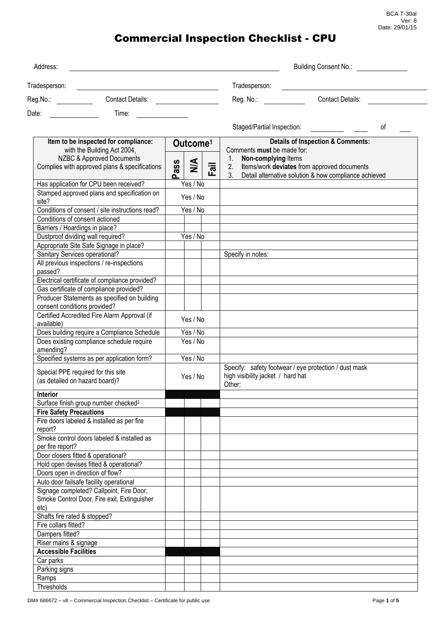BCA T-30al Ver: 8 Date: 29/01/15

# Commercial Inspection Checklist - CPU

| Address:                                                                  |                      | Building Consent No.:<br>Tradesperson: |                                                                                                                                                                                                                                |                                                          |
|---------------------------------------------------------------------------|----------------------|----------------------------------------|--------------------------------------------------------------------------------------------------------------------------------------------------------------------------------------------------------------------------------|----------------------------------------------------------|
| Tradesperson:<br><u> 1989 - Jan Stein Stein, fransk politik (f. 1989)</u> |                      |                                        |                                                                                                                                                                                                                                |                                                          |
| Reg.No.: _________<br><b>Contact Details:</b>                             |                      |                                        | Reg. No.:                                                                                                                                                                                                                      | <b>Contact Details:</b>                                  |
| Date:<br>Time:                                                            |                      |                                        |                                                                                                                                                                                                                                |                                                          |
|                                                                           |                      |                                        | Staged/Partial Inspection: [1995] [1996] [1996] [1996] [1996] [1996] [1996] [1996] [1996] [1996] [1996] [1996] [1996] [1996] [1996] [1996] [1996] [1996] [1996] [1996] [1996] [1996] [1996] [1996] [1996] [1996] [1996] [1996] | 0f                                                       |
| Item to be inspected for compliance:                                      | Outcome <sup>1</sup> |                                        | <b>Details of Inspection &amp; Comments:</b>                                                                                                                                                                                   |                                                          |
| with the Building Act 2004,                                               |                      |                                        | Comments must be made for:                                                                                                                                                                                                     |                                                          |
| NZBC & Approved Documents                                                 | ass                  | $\leq$                                 | Non-complying Items<br>1.                                                                                                                                                                                                      |                                                          |
| Complies with approved plans & specifications                             |                      | $\overline{\overline{5}}$<br>ட         | Items/work deviates from approved documents<br>2.                                                                                                                                                                              | 3. Detail alternative solution & how compliance achieved |
| Has application for CPU been received?                                    | ൨                    | Yes / No                               |                                                                                                                                                                                                                                |                                                          |
| Stamped approved plans and specification on                               |                      |                                        |                                                                                                                                                                                                                                |                                                          |
| site?                                                                     |                      | Yes / No                               |                                                                                                                                                                                                                                |                                                          |
| Conditions of consent / site instructions read?                           |                      | Yes / No                               |                                                                                                                                                                                                                                |                                                          |
| Conditions of consent actioned                                            |                      |                                        |                                                                                                                                                                                                                                |                                                          |
| Barriers / Hoardings in place?                                            |                      |                                        |                                                                                                                                                                                                                                |                                                          |
| Dustproof dividing wall required?                                         |                      | Yes / No                               |                                                                                                                                                                                                                                |                                                          |
| Appropriate Site Safe Signage in place?                                   |                      |                                        |                                                                                                                                                                                                                                |                                                          |
| Sanitary Services operational?                                            |                      |                                        | Specify in notes:                                                                                                                                                                                                              |                                                          |
| All previous inspections / re-inspections<br>passed?                      |                      |                                        |                                                                                                                                                                                                                                |                                                          |
| Electrical certificate of compliance provided?                            |                      |                                        |                                                                                                                                                                                                                                |                                                          |
| Gas certificate of compliance provided?                                   |                      |                                        |                                                                                                                                                                                                                                |                                                          |
| Producer Statements as specified on building                              |                      |                                        |                                                                                                                                                                                                                                |                                                          |
| consent conditions provided?                                              |                      |                                        |                                                                                                                                                                                                                                |                                                          |
| Certified Accredited Fire Alarm Approval (if<br>available)                |                      | Yes / No                               |                                                                                                                                                                                                                                |                                                          |
| Does building require a Compliance Schedule                               |                      | Yes / No                               |                                                                                                                                                                                                                                |                                                          |
| Does existing compliance schedule require<br>amending?                    |                      | Yes / No                               |                                                                                                                                                                                                                                |                                                          |
| Specified systems as per application form?                                |                      | Yes / No                               |                                                                                                                                                                                                                                |                                                          |
| Special PPE required for this site<br>(as detailed on hazard board)?      | Yes / No             |                                        | Specify: safety footwear / eye protection / dust mask<br>high visibility jacket / hard hat                                                                                                                                     |                                                          |
|                                                                           |                      |                                        | Other:                                                                                                                                                                                                                         |                                                          |
| Interior                                                                  |                      |                                        |                                                                                                                                                                                                                                |                                                          |
| Surface finish group number checked <sup>2</sup>                          |                      |                                        |                                                                                                                                                                                                                                |                                                          |
| <b>Fire Safety Precautions</b>                                            |                      |                                        |                                                                                                                                                                                                                                |                                                          |
| Fire doors labeled & installed as per fire<br>report?                     |                      |                                        |                                                                                                                                                                                                                                |                                                          |
| Smoke control doors labeled & installed as<br>per fire report?            |                      |                                        |                                                                                                                                                                                                                                |                                                          |
| Door closers fitted & operational?                                        |                      |                                        |                                                                                                                                                                                                                                |                                                          |
| Hold open devises fitted & operational?                                   |                      |                                        |                                                                                                                                                                                                                                |                                                          |
| Doors open in direction of flow?                                          |                      |                                        |                                                                                                                                                                                                                                |                                                          |
| Auto door failsafe facility operational                                   |                      |                                        |                                                                                                                                                                                                                                |                                                          |
| Signage completed? Callpoint, Fire Door,                                  |                      |                                        |                                                                                                                                                                                                                                |                                                          |
| Smoke Control Door, Fire exit, Extinguisher                               |                      |                                        |                                                                                                                                                                                                                                |                                                          |
| etc)<br>Shafts fire rated & stopped?                                      |                      |                                        |                                                                                                                                                                                                                                |                                                          |
| Fire collars fitted?                                                      |                      |                                        |                                                                                                                                                                                                                                |                                                          |
| Dampers fitted?                                                           |                      |                                        |                                                                                                                                                                                                                                |                                                          |
| Riser mains & signage                                                     |                      |                                        |                                                                                                                                                                                                                                |                                                          |
| <b>Accessible Facilities</b>                                              |                      |                                        |                                                                                                                                                                                                                                |                                                          |
| Car parks                                                                 |                      |                                        |                                                                                                                                                                                                                                |                                                          |
| Parking signs                                                             |                      |                                        |                                                                                                                                                                                                                                |                                                          |
| Ramps                                                                     |                      |                                        |                                                                                                                                                                                                                                |                                                          |
| Thresholds                                                                |                      |                                        |                                                                                                                                                                                                                                |                                                          |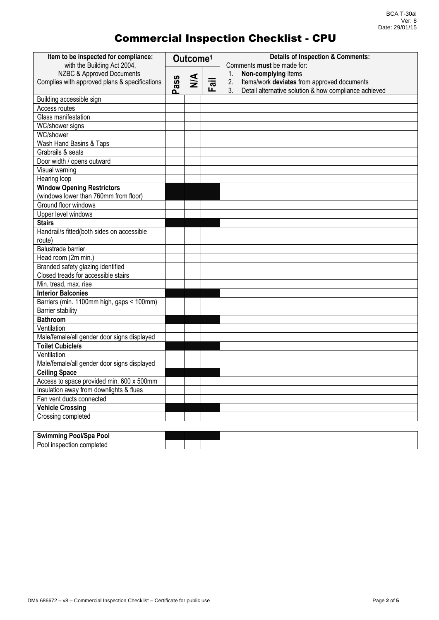### Commercial Inspection Checklist - CPU

| Item to be inspected for compliance:<br>with the Building Act 2004, | Outcome <sup>1</sup> |               |                                | <b>Details of Inspection &amp; Comments:</b><br>Comments must be made for:                                       |  |  |
|---------------------------------------------------------------------|----------------------|---------------|--------------------------------|------------------------------------------------------------------------------------------------------------------|--|--|
| NZBC & Approved Documents                                           | ass                  |               |                                | Non-complying Items<br>1.                                                                                        |  |  |
| Complies with approved plans & specifications                       |                      | $\frac{4}{2}$ | $\overline{\overline{a}}$<br>ட | Items/work deviates from approved documents<br>2.<br>Detail alternative solution & how compliance achieved<br>3. |  |  |
| Building accessible sign                                            |                      |               |                                |                                                                                                                  |  |  |
| Access routes                                                       |                      |               |                                |                                                                                                                  |  |  |
| Glass manifestation                                                 |                      |               |                                |                                                                                                                  |  |  |
| WC/shower signs                                                     |                      |               |                                |                                                                                                                  |  |  |
| <b>WC/shower</b>                                                    |                      |               |                                |                                                                                                                  |  |  |
| Wash Hand Basins & Taps                                             |                      |               |                                |                                                                                                                  |  |  |
| Grabrails & seats                                                   |                      |               |                                |                                                                                                                  |  |  |
| Door width / opens outward                                          |                      |               |                                |                                                                                                                  |  |  |
| Visual warning                                                      |                      |               |                                |                                                                                                                  |  |  |
| Hearing loop                                                        |                      |               |                                |                                                                                                                  |  |  |
| <b>Window Opening Restrictors</b>                                   |                      |               |                                |                                                                                                                  |  |  |
| (windows lower than 760mm from floor)                               |                      |               |                                |                                                                                                                  |  |  |
| Ground floor windows                                                |                      |               |                                |                                                                                                                  |  |  |
| Upper level windows                                                 |                      |               |                                |                                                                                                                  |  |  |
| <b>Stairs</b>                                                       |                      |               |                                |                                                                                                                  |  |  |
| Handrail/s fitted(both sides on accessible                          |                      |               |                                |                                                                                                                  |  |  |
| route)                                                              |                      |               |                                |                                                                                                                  |  |  |
| <b>Balustrade barrier</b>                                           |                      |               |                                |                                                                                                                  |  |  |
| Head room (2m min.)                                                 |                      |               |                                |                                                                                                                  |  |  |
| Branded safety glazing identified                                   |                      |               |                                |                                                                                                                  |  |  |
| Closed treads for accessible stairs                                 |                      |               |                                |                                                                                                                  |  |  |
| Min. tread, max. rise                                               |                      |               |                                |                                                                                                                  |  |  |
| <b>Interior Balconies</b>                                           |                      |               |                                |                                                                                                                  |  |  |
| Barriers (min. 1100mm high, gaps < 100mm)                           |                      |               |                                |                                                                                                                  |  |  |
| <b>Barrier stability</b>                                            |                      |               |                                |                                                                                                                  |  |  |
| <b>Bathroom</b>                                                     |                      |               |                                |                                                                                                                  |  |  |
| Ventilation                                                         |                      |               |                                |                                                                                                                  |  |  |
| Male/female/all gender door signs displayed                         |                      |               |                                |                                                                                                                  |  |  |
| <b>Toilet Cubicle/s</b>                                             |                      |               |                                |                                                                                                                  |  |  |
| Ventilation                                                         |                      |               |                                |                                                                                                                  |  |  |
| Male/female/all gender door signs displayed                         |                      |               |                                |                                                                                                                  |  |  |
| <b>Ceiling Space</b>                                                |                      |               |                                |                                                                                                                  |  |  |
| Access to space provided min. 600 x 500mm                           |                      |               |                                |                                                                                                                  |  |  |
| Insulation away from downlights & flues                             |                      |               |                                |                                                                                                                  |  |  |
| Fan vent ducts connected                                            |                      |               |                                |                                                                                                                  |  |  |
| <b>Vehicle Crossing</b>                                             |                      |               |                                |                                                                                                                  |  |  |
| Crossing completed                                                  |                      |               |                                |                                                                                                                  |  |  |
|                                                                     |                      |               |                                |                                                                                                                  |  |  |
| <b>Swimming Pool/Spa Pool</b>                                       |                      |               |                                |                                                                                                                  |  |  |

Pool inspection completed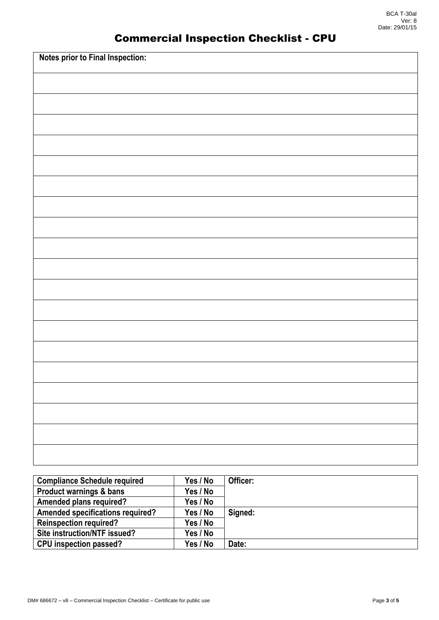### Commercial Inspection Checklist - CPU

| Notes prior to Final Inspection: |
|----------------------------------|
|                                  |
|                                  |
|                                  |
|                                  |
|                                  |
|                                  |
|                                  |
|                                  |
|                                  |
|                                  |
|                                  |
|                                  |
|                                  |
|                                  |
|                                  |
|                                  |
|                                  |
|                                  |
|                                  |

| <b>Compliance Schedule required</b>     | Yes / No | Officer: |
|-----------------------------------------|----------|----------|
| <b>Product warnings &amp; bans</b>      | Yes / No |          |
| <b>Amended plans required?</b>          | Yes / No |          |
| <b>Amended specifications required?</b> | Yes / No | Signed:  |
| <b>Reinspection required?</b>           | Yes / No |          |
| Site instruction/NTF issued?            | Yes / No |          |
| <b>CPU</b> inspection passed?           | Yes / No | Date:    |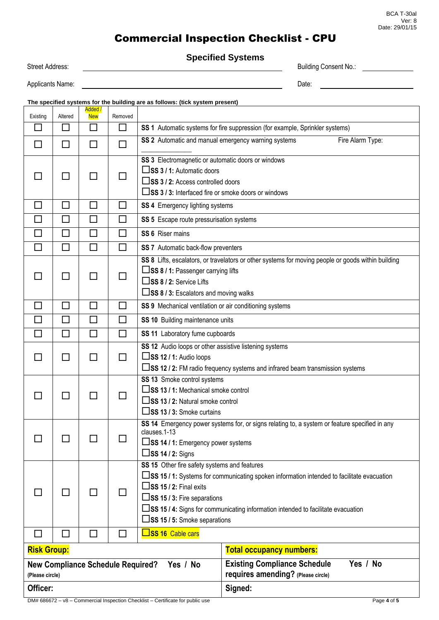#### BCA T-30al Ver: 8 Date: 29/01/15

# Commercial Inspection Checklist - CPU

**Specified Systems**

| <b>Street Address:</b>                                                                                                                                                                                                                                   |                                                                                         | opoomou oyatoma | <b>Building Consent No.:</b> |                                                                                                                                                                                                                                                                                                                                               |                                                                                       |  |  |
|----------------------------------------------------------------------------------------------------------------------------------------------------------------------------------------------------------------------------------------------------------|-----------------------------------------------------------------------------------------|-----------------|------------------------------|-----------------------------------------------------------------------------------------------------------------------------------------------------------------------------------------------------------------------------------------------------------------------------------------------------------------------------------------------|---------------------------------------------------------------------------------------|--|--|
| Applicants Name:<br><u>and the company of the company of the company of the company of the company of the company of the company of the company of the company of the company of the company of the company of the company of the company of the com</u> |                                                                                         |                 |                              |                                                                                                                                                                                                                                                                                                                                               | Date:                                                                                 |  |  |
|                                                                                                                                                                                                                                                          | The specified systems for the building are as follows: (tick system present)<br>Added / |                 |                              |                                                                                                                                                                                                                                                                                                                                               |                                                                                       |  |  |
| Existing                                                                                                                                                                                                                                                 | Altered                                                                                 | <b>New</b>      | Removed                      |                                                                                                                                                                                                                                                                                                                                               |                                                                                       |  |  |
| $\Box$                                                                                                                                                                                                                                                   | $\Box$                                                                                  | ப               | □                            | SS 1 Automatic systems for fire suppression (for example, Sprinkler systems)                                                                                                                                                                                                                                                                  |                                                                                       |  |  |
| $\Box$                                                                                                                                                                                                                                                   | □                                                                                       |                 | П                            | SS 2 Automatic and manual emergency warning systems<br>Fire Alarm Type:                                                                                                                                                                                                                                                                       |                                                                                       |  |  |
|                                                                                                                                                                                                                                                          | $\Box$                                                                                  | $\blacksquare$  |                              | SS 3 Electromagnetic or automatic doors or windows<br>$\square$ SS 3 / 1: Automatic doors<br>□SS 3 / 2: Access controlled doors<br>□SS 3 / 3: Interfaced fire or smoke doors or windows                                                                                                                                                       |                                                                                       |  |  |
| $\mathcal{L}_{\mathcal{A}}$                                                                                                                                                                                                                              | $\Box$                                                                                  | $\Box$          | $\Box$                       | SS 4 Emergency lighting systems                                                                                                                                                                                                                                                                                                               |                                                                                       |  |  |
| П                                                                                                                                                                                                                                                        | $\Box$                                                                                  |                 | П                            | SS 5 Escape route pressurisation systems                                                                                                                                                                                                                                                                                                      |                                                                                       |  |  |
| $\Box$                                                                                                                                                                                                                                                   | $\Box$                                                                                  | □               | □                            | SS 6 Riser mains                                                                                                                                                                                                                                                                                                                              |                                                                                       |  |  |
| $\Box$                                                                                                                                                                                                                                                   | $\Box$                                                                                  | П               | $\Box$                       | SS 7 Automatic back-flow preventers                                                                                                                                                                                                                                                                                                           |                                                                                       |  |  |
|                                                                                                                                                                                                                                                          | □                                                                                       |                 | $\Box$                       | SS 8 Lifts, escalators, or travelators or other systems for moving people or goods within building<br>□SS 8 / 1: Passenger carrying lifts<br>$\square$ SS 8 / 2: Service Lifts<br>$\Box$ SS 8 / 3: Escalators and moving walks                                                                                                                |                                                                                       |  |  |
| $\Box$                                                                                                                                                                                                                                                   | $\Box$                                                                                  | □               | $\Box$                       | SS 9 Mechanical ventilation or air conditioning systems                                                                                                                                                                                                                                                                                       |                                                                                       |  |  |
| $\Box$                                                                                                                                                                                                                                                   | $\Box$                                                                                  | □               | □                            | SS 10 Building maintenance units                                                                                                                                                                                                                                                                                                              |                                                                                       |  |  |
| □                                                                                                                                                                                                                                                        | □                                                                                       | □               | $\Box$                       | SS 11 Laboratory fume cupboards                                                                                                                                                                                                                                                                                                               |                                                                                       |  |  |
|                                                                                                                                                                                                                                                          | $\Box$                                                                                  | $\blacksquare$  | П                            | SS 12 Audio loops or other assistive listening systems<br>$\square$ SS 12 / 1: Audio loops<br>□SS 12 / 2: FM radio frequency systems and infrared beam transmission systems                                                                                                                                                                   |                                                                                       |  |  |
|                                                                                                                                                                                                                                                          |                                                                                         |                 |                              | SS 13 Smoke control systems<br>□SS 13 / 1: Mechanical smoke control<br>□SS 13 / 2: Natural smoke control<br>$\square$ SS 13 / 3: Smoke curtains                                                                                                                                                                                               |                                                                                       |  |  |
|                                                                                                                                                                                                                                                          | ┓                                                                                       |                 |                              | SS 14 Emergency power systems for, or signs relating to, a system or feature specified in any<br>clauses.1-13<br>□SS 14 / 1: Emergency power systems<br>$\square$ SS 14 / 2: Signs                                                                                                                                                            |                                                                                       |  |  |
|                                                                                                                                                                                                                                                          | ΙI                                                                                      |                 |                              | SS 15 Other fire safety systems and features<br>□SS 15 / 1: Systems for communicating spoken information intended to facilitate evacuation<br>$\square$ SS 15 / 2: Final exits<br>□SS 15 / 3: Fire separations<br>□SS 15 / 4: Signs for communicating information intended to facilitate evacuation<br>$\square$ SS 15 / 5: Smoke separations |                                                                                       |  |  |
| □                                                                                                                                                                                                                                                        | □                                                                                       | $\Box$          | П                            | <b>SS 16 Cable cars</b>                                                                                                                                                                                                                                                                                                                       |                                                                                       |  |  |
|                                                                                                                                                                                                                                                          | <b>Risk Group:</b><br><b>Total occupancy numbers:</b>                                   |                 |                              |                                                                                                                                                                                                                                                                                                                                               |                                                                                       |  |  |
| <b>New Compliance Schedule Required?</b><br>Yes / No<br>(Please circle)                                                                                                                                                                                  |                                                                                         |                 |                              |                                                                                                                                                                                                                                                                                                                                               | Yes / No<br><b>Existing Compliance Schedule</b><br>requires amending? (Please circle) |  |  |
| Officer:                                                                                                                                                                                                                                                 |                                                                                         |                 |                              | Signed:                                                                                                                                                                                                                                                                                                                                       |                                                                                       |  |  |

DM# 686672 – v8 – Commercial Inspection Checklist – Certificate for public use Page **4** of **5**